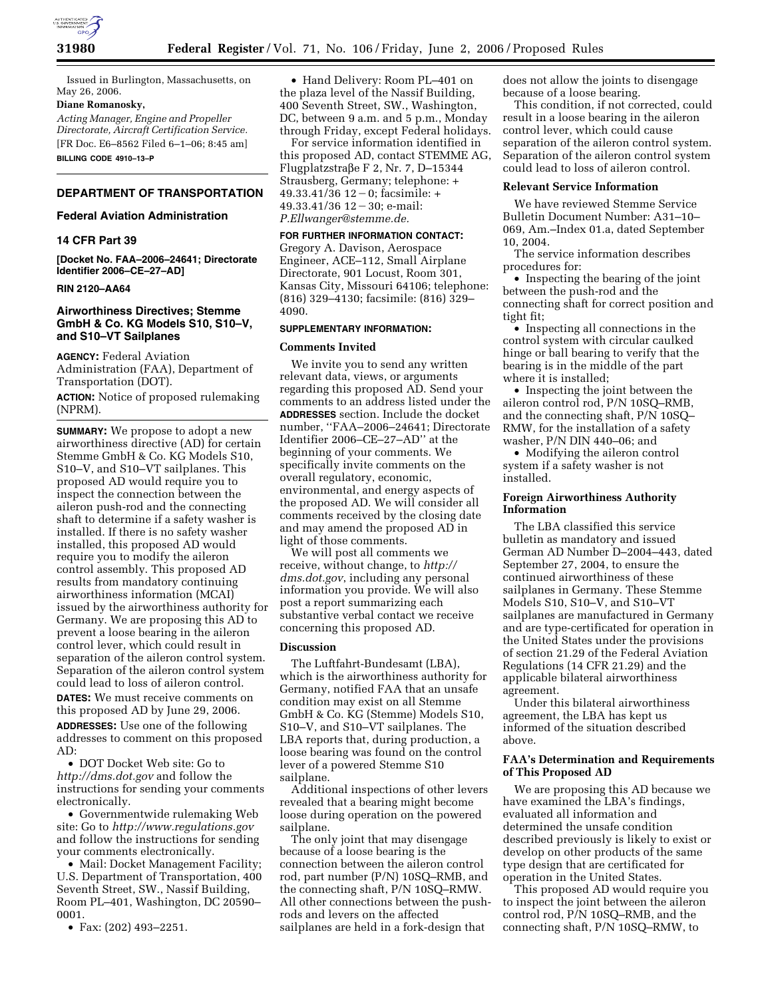

Issued in Burlington, Massachusetts, on May 26, 2006.

#### **Diane Romanosky,**

*Acting Manager, Engine and Propeller Directorate, Aircraft Certification Service.*  [FR Doc. E6–8562 Filed 6–1–06; 8:45 am]

**BILLING CODE 4910–13–P** 

# **DEPARTMENT OF TRANSPORTATION**

### **Federal Aviation Administration**

### **14 CFR Part 39**

**[Docket No. FAA–2006–24641; Directorate Identifier 2006–CE–27–AD]** 

### **RIN 2120–AA64**

## **Airworthiness Directives; Stemme GmbH & Co. KG Models S10, S10–V, and S10–VT Sailplanes**

**AGENCY:** Federal Aviation Administration (FAA), Department of Transportation (DOT). **ACTION:** Notice of proposed rulemaking (NPRM).

**SUMMARY:** We propose to adopt a new airworthiness directive (AD) for certain Stemme GmbH & Co. KG Models S10, S10–V, and S10–VT sailplanes. This proposed AD would require you to inspect the connection between the aileron push-rod and the connecting shaft to determine if a safety washer is installed. If there is no safety washer installed, this proposed AD would require you to modify the aileron control assembly. This proposed AD results from mandatory continuing airworthiness information (MCAI) issued by the airworthiness authority for Germany. We are proposing this AD to prevent a loose bearing in the aileron control lever, which could result in separation of the aileron control system. Separation of the aileron control system could lead to loss of aileron control. **DATES:** We must receive comments on this proposed AD by June 29, 2006.

**ADDRESSES:** Use one of the following addresses to comment on this proposed AD:

• DOT Docket Web site: Go to *http://dms.dot.gov* and follow the instructions for sending your comments electronically.

• Governmentwide rulemaking Web site: Go to *http://www.regulations.gov*  and follow the instructions for sending your comments electronically.

• Mail: Docket Management Facility; U.S. Department of Transportation, 400 Seventh Street, SW., Nassif Building, Room PL–401, Washington, DC 20590– 0001.

• Fax: (202) 493–2251.

• Hand Delivery: Room PL–401 on the plaza level of the Nassif Building, 400 Seventh Street, SW., Washington, DC, between 9 a.m. and 5 p.m., Monday through Friday, except Federal holidays.

For service information identified in this proposed AD, contact STEMME AG,  $Flugplatzstra\beta e \to 2$ , Nr. 7, D-15344 Strausberg, Germany; telephone: +  $49.33.41/\overline{36}$   $12-0$ ; facsimile: +  $49.33.41/36$   $12 - 30$ ; e-mail: *P.Ellwanger@stemme.de.* 

#### **FOR FURTHER INFORMATION CONTACT:**

Gregory A. Davison, Aerospace Engineer, ACE–112, Small Airplane Directorate, 901 Locust, Room 301, Kansas City, Missouri 64106; telephone: (816) 329–4130; facsimile: (816) 329– 4090.

#### **SUPPLEMENTARY INFORMATION:**

#### **Comments Invited**

We invite you to send any written relevant data, views, or arguments regarding this proposed AD. Send your comments to an address listed under the **ADDRESSES** section. Include the docket number, ''FAA–2006–24641; Directorate Identifier 2006–CE–27–AD'' at the beginning of your comments. We specifically invite comments on the overall regulatory, economic, environmental, and energy aspects of the proposed AD. We will consider all comments received by the closing date and may amend the proposed AD in light of those comments.

We will post all comments we receive, without change, to *http:// dms.dot.gov*, including any personal information you provide. We will also post a report summarizing each substantive verbal contact we receive concerning this proposed AD.

#### **Discussion**

The Luftfahrt-Bundesamt (LBA), which is the airworthiness authority for Germany, notified FAA that an unsafe condition may exist on all Stemme GmbH & Co. KG (Stemme) Models S10, S10–V, and S10–VT sailplanes. The LBA reports that, during production, a loose bearing was found on the control lever of a powered Stemme S10 sailplane.

Additional inspections of other levers revealed that a bearing might become loose during operation on the powered sailplane.

The only joint that may disengage because of a loose bearing is the connection between the aileron control rod, part number (P/N) 10SQ–RMB, and the connecting shaft, P/N 10SQ–RMW. All other connections between the pushrods and levers on the affected sailplanes are held in a fork-design that

does not allow the joints to disengage because of a loose bearing.

This condition, if not corrected, could result in a loose bearing in the aileron control lever, which could cause separation of the aileron control system. Separation of the aileron control system could lead to loss of aileron control.

#### **Relevant Service Information**

We have reviewed Stemme Service Bulletin Document Number: A31–10– 069, Am.–Index 01.a, dated September 10, 2004.

The service information describes procedures for:

• Inspecting the bearing of the joint between the push-rod and the connecting shaft for correct position and tight fit;

• Inspecting all connections in the control system with circular caulked hinge or ball bearing to verify that the bearing is in the middle of the part where it is installed;

• Inspecting the joint between the aileron control rod, P/N 10SQ–RMB, and the connecting shaft, P/N 10SQ– RMW, for the installation of a safety washer, P/N DIN 440–06; and

• Modifying the aileron control system if a safety washer is not installed.

## **Foreign Airworthiness Authority Information**

The LBA classified this service bulletin as mandatory and issued German AD Number D–2004–443, dated September 27, 2004, to ensure the continued airworthiness of these sailplanes in Germany. These Stemme Models S10, S10–V, and S10–VT sailplanes are manufactured in Germany and are type-certificated for operation in the United States under the provisions of section 21.29 of the Federal Aviation Regulations (14 CFR 21.29) and the applicable bilateral airworthiness agreement.

Under this bilateral airworthiness agreement, the LBA has kept us informed of the situation described above.

### **FAA's Determination and Requirements of This Proposed AD**

We are proposing this AD because we have examined the LBA's findings, evaluated all information and determined the unsafe condition described previously is likely to exist or develop on other products of the same type design that are certificated for operation in the United States.

This proposed AD would require you to inspect the joint between the aileron control rod, P/N 10SQ–RMB, and the connecting shaft, P/N 10SQ–RMW, to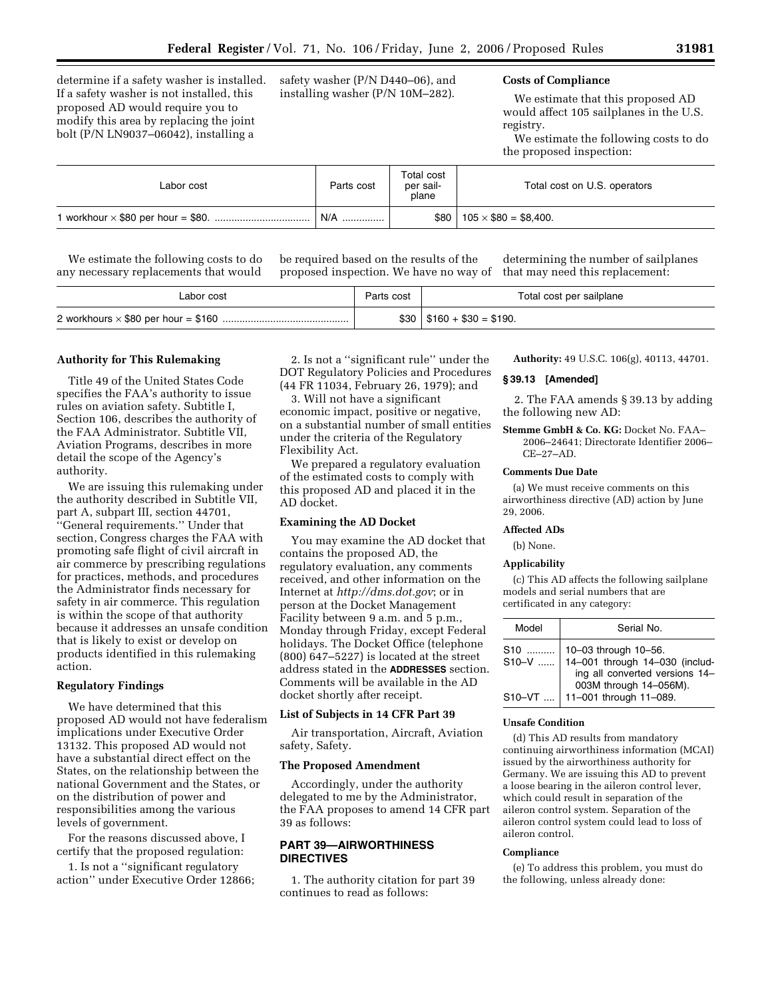determine if a safety washer is installed. If a safety washer is not installed, this proposed AD would require you to modify this area by replacing the joint bolt (P/N LN9037–06042), installing a

safety washer (P/N D440–06), and installing washer (P/N 10M–282).

# **Costs of Compliance**

We estimate that this proposed AD would affect 105 sailplanes in the U.S. registry.

We estimate the following costs to do the proposed inspection:

| Labor cost | Parts cost | Total cost<br>per sail-<br>plane | Total cost on U.S. operators |
|------------|------------|----------------------------------|------------------------------|
|            | N/A<br>    | \$80                             | $105 \times $80 = $8,400.$   |

We estimate the following costs to do any necessary replacements that would

be required based on the results of the proposed inspection. We have no way of

determining the number of sailplanes that may need this replacement:

| Labor cost | Parts cost | Total cost per sailplane      |
|------------|------------|-------------------------------|
|            |            | $$30 \mid $160 + $30 = $190.$ |

#### **Authority for This Rulemaking**

Title 49 of the United States Code specifies the FAA's authority to issue rules on aviation safety. Subtitle I, Section 106, describes the authority of the FAA Administrator. Subtitle VII, Aviation Programs, describes in more detail the scope of the Agency's authority.

We are issuing this rulemaking under the authority described in Subtitle VII, part A, subpart III, section 44701, ''General requirements.'' Under that section, Congress charges the FAA with promoting safe flight of civil aircraft in air commerce by prescribing regulations for practices, methods, and procedures the Administrator finds necessary for safety in air commerce. This regulation is within the scope of that authority because it addresses an unsafe condition that is likely to exist or develop on products identified in this rulemaking action.

### **Regulatory Findings**

We have determined that this proposed AD would not have federalism implications under Executive Order 13132. This proposed AD would not have a substantial direct effect on the States, on the relationship between the national Government and the States, or on the distribution of power and responsibilities among the various levels of government.

For the reasons discussed above, I certify that the proposed regulation:

1. Is not a ''significant regulatory action'' under Executive Order 12866;

2. Is not a ''significant rule'' under the DOT Regulatory Policies and Procedures (44 FR 11034, February 26, 1979); and

3. Will not have a significant economic impact, positive or negative, on a substantial number of small entities under the criteria of the Regulatory Flexibility Act.

We prepared a regulatory evaluation of the estimated costs to comply with this proposed AD and placed it in the AD docket.

#### **Examining the AD Docket**

You may examine the AD docket that contains the proposed AD, the regulatory evaluation, any comments received, and other information on the Internet at *http://dms.dot.gov*; or in person at the Docket Management Facility between 9 a.m. and 5 p.m., Monday through Friday, except Federal holidays. The Docket Office (telephone (800) 647–5227) is located at the street address stated in the **ADDRESSES** section. Comments will be available in the AD docket shortly after receipt.

### **List of Subjects in 14 CFR Part 39**

Air transportation, Aircraft, Aviation safety, Safety.

### **The Proposed Amendment**

Accordingly, under the authority delegated to me by the Administrator, the FAA proposes to amend 14 CFR part 39 as follows:

# **PART 39—AIRWORTHINESS DIRECTIVES**

1. The authority citation for part 39 continues to read as follows:

**Authority:** 49 U.S.C. 106(g), 40113, 44701.

### **§ 39.13 [Amended]**

2. The FAA amends § 39.13 by adding the following new AD:

**Stemme GmbH & Co. KG:** Docket No. FAA– 2006–24641; Directorate Identifier 2006– CE–27–AD.

#### **Comments Due Date**

(a) We must receive comments on this airworthiness directive (AD) action by June 29, 2006.

#### **Affected ADs**

(b) None.

#### **Applicability**

(c) This AD affects the following sailplane models and serial numbers that are certificated in any category:

| Model          | Serial No.                                                                                                         |
|----------------|--------------------------------------------------------------------------------------------------------------------|
| S10<br>$$10-V$ | 10-03 through 10-56.<br>14-001 through 14-030 (includ-<br>ing all converted versions 14-<br>003M through 14-056M). |
| $S10-VT$       | 11-001 through 11-089.                                                                                             |

#### **Unsafe Condition**

(d) This AD results from mandatory continuing airworthiness information (MCAI) issued by the airworthiness authority for Germany. We are issuing this AD to prevent a loose bearing in the aileron control lever, which could result in separation of the aileron control system. Separation of the aileron control system could lead to loss of aileron control.

#### **Compliance**

(e) To address this problem, you must do the following, unless already done: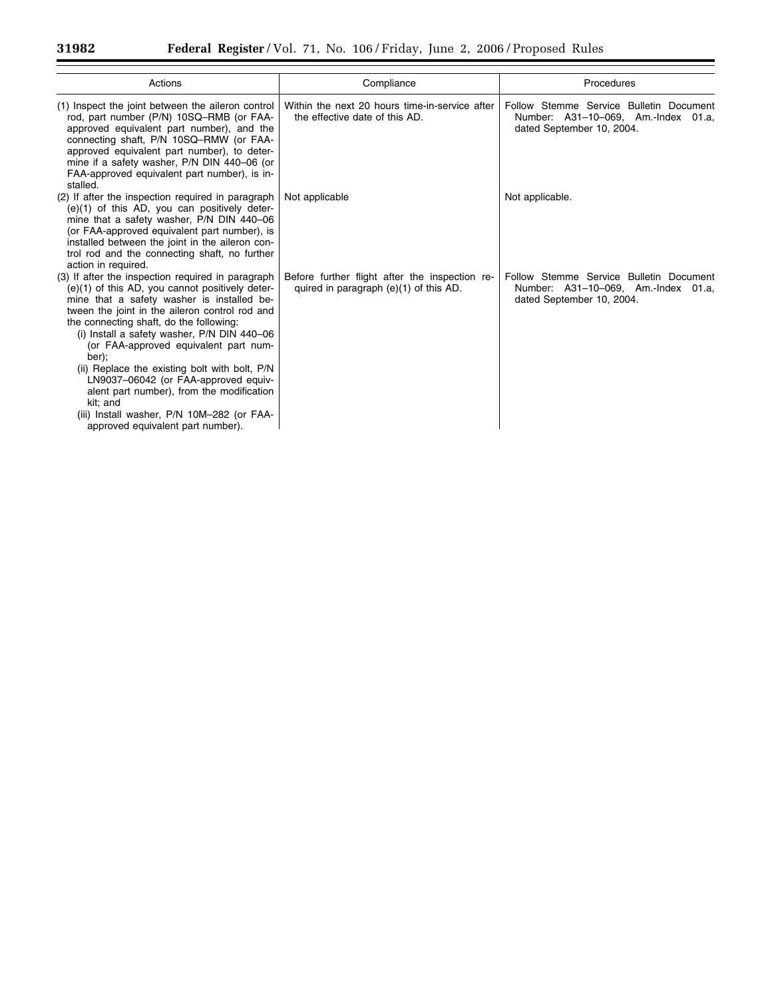$\equiv$ 

| Actions                                                                                                                                                                                                                                                                                                                                                                                                                                                                                                                                                                               | Compliance                                                                               | Procedures                                                                                                  |
|---------------------------------------------------------------------------------------------------------------------------------------------------------------------------------------------------------------------------------------------------------------------------------------------------------------------------------------------------------------------------------------------------------------------------------------------------------------------------------------------------------------------------------------------------------------------------------------|------------------------------------------------------------------------------------------|-------------------------------------------------------------------------------------------------------------|
| (1) Inspect the joint between the aileron control<br>rod, part number (P/N) 10SQ-RMB (or FAA-<br>approved equivalent part number), and the<br>connecting shaft, P/N 10SQ-RMW (or FAA-<br>approved equivalent part number), to deter-<br>mine if a safety washer, P/N DIN 440-06 (or<br>FAA-approved equivalent part number), is in-<br>stalled.                                                                                                                                                                                                                                       | Within the next 20 hours time-in-service after<br>the effective date of this AD.         | Follow Stemme Service Bulletin Document<br>Number: A31-10-069, Am.-Index 01.a,<br>dated September 10, 2004. |
| (2) If after the inspection required in paragraph<br>$(e)(1)$ of this AD, you can positively deter-<br>mine that a safety washer, P/N DIN 440-06<br>(or FAA-approved equivalent part number), is<br>installed between the joint in the aileron con-<br>trol rod and the connecting shaft, no further<br>action in required.                                                                                                                                                                                                                                                           | Not applicable                                                                           | Not applicable.                                                                                             |
| (3) If after the inspection required in paragraph<br>(e)(1) of this AD, you cannot positively deter-<br>mine that a safety washer is installed be-<br>tween the joint in the aileron control rod and<br>the connecting shaft, do the following:<br>(i) Install a safety washer, P/N DIN 440-06<br>(or FAA-approved equivalent part num-<br>ber);<br>(ii) Replace the existing bolt with bolt, P/N<br>LN9037-06042 (or FAA-approved equiv-<br>alent part number), from the modification<br>kit; and<br>(iii) Install washer, P/N 10M-282 (or FAA-<br>approved equivalent part number). | Before further flight after the inspection re-<br>quired in paragraph (e)(1) of this AD. | Follow Stemme Service Bulletin Document<br>Number: A31-10-069, Am.-Index 01.a,<br>dated September 10, 2004. |